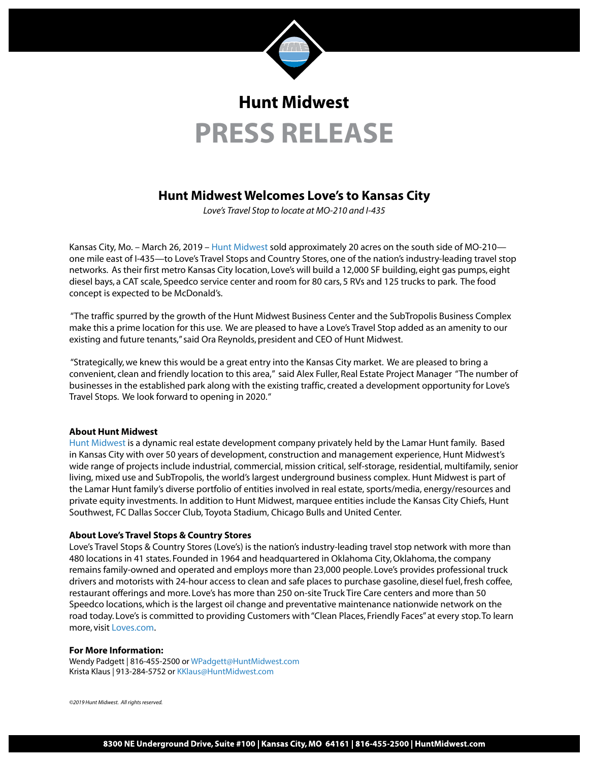

# **Hunt Midwest PRESS RELEASE**

### **Hunt Midwest Welcomes Love's to Kansas City**

*Love's Travel Stop to locate at MO-210 and I-435*

Kansas City, Mo. – March 26, 2019 – [Hunt Midwest](https://huntmidwest.com/) sold approximately 20 acres on the south side of MO-210 one mile east of I-435—to Love's Travel Stops and Country Stores, one of the nation's industry-leading travel stop networks. As their first metro Kansas City location, Love's will build a 12,000 SF building, eight gas pumps, eight diesel bays, a CAT scale, Speedco service center and room for 80 cars, 5 RVs and 125 trucks to park. The food concept is expected to be McDonald's.

 "The traffic spurred by the growth of the Hunt Midwest Business Center and the SubTropolis Business Complex make this a prime location for this use. We are pleased to have a Love's Travel Stop added as an amenity to our existing and future tenants," said Ora Reynolds, president and CEO of Hunt Midwest.

 "Strategically, we knew this would be a great entry into the Kansas City market. We are pleased to bring a convenient, clean and friendly location to this area," said Alex Fuller, Real Estate Project Manager "The number of businesses in the established park along with the existing traffic, created a development opportunity for Love's Travel Stops. We look forward to opening in 2020. "

#### **About Hunt Midwest**

[Hunt Midwest](https://huntmidwest.com/) is a dynamic real estate development company privately held by the Lamar Hunt family. Based in Kansas City with over 50 years of development, construction and management experience, Hunt Midwest's wide range of projects include industrial, commercial, mission critical, self-storage, residential, multifamily, senior living, mixed use and SubTropolis, the world's largest underground business complex. Hunt Midwest is part of the Lamar Hunt family's diverse portfolio of entities involved in real estate, sports/media, energy/resources and private equity investments. In addition to Hunt Midwest, marquee entities include the Kansas City Chiefs, Hunt Southwest, FC Dallas Soccer Club, Toyota Stadium, Chicago Bulls and United Center.

#### **About Love's Travel Stops & Country Stores**

Love's Travel Stops & Country Stores (Love's) is the nation's industry-leading travel stop network with more than 480 locations in 41 states. Founded in 1964 and headquartered in Oklahoma City, Oklahoma, the company remains family-owned and operated and employs more than 23,000 people. Love's provides professional truck drivers and motorists with 24-hour access to clean and safe places to purchase gasoline, diesel fuel, fresh coffee, restaurant offerings and more. Love's has more than 250 on-site Truck Tire Care centers and more than 50 Speedco locations, which is the largest oil change and preventative maintenance nationwide network on the road today. Love's is committed to providing Customers with "Clean Places, Friendly Faces" at every stop. To learn more, visit [Loves.com](https://www.loves.com/).

#### **For More Information:**

Wendy Padgett | 816-455-2500 or WPadgett[@HuntMidwest.com](mailto:WPadgett%40HuntMidwest.com?subject=) Krista Klaus | 913-284-5752 or KK[laus@HuntMidwest.com](mailto:kklaus@huntmidwest.com)

*©2019 Hunt Midwest. All rights reserved.*